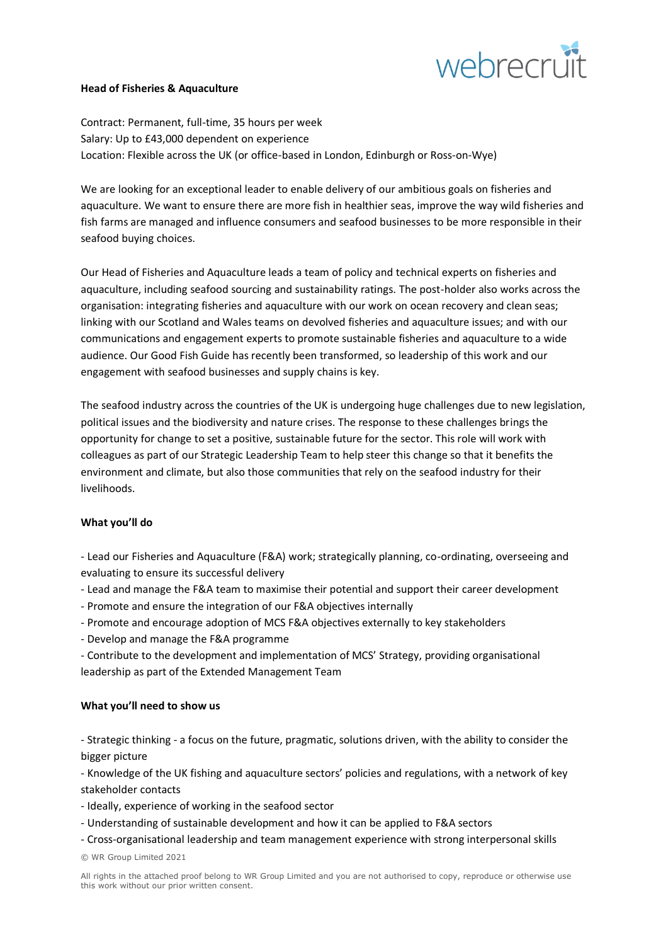

### **Head of Fisheries & Aquaculture**

Contract: Permanent, full-time, 35 hours per week Salary: Up to £43,000 dependent on experience Location: Flexible across the UK (or office-based in London, Edinburgh or Ross-on-Wye)

We are looking for an exceptional leader to enable delivery of our ambitious goals on fisheries and aquaculture. We want to ensure there are more fish in healthier seas, improve the way wild fisheries and fish farms are managed and influence consumers and seafood businesses to be more responsible in their seafood buying choices.

Our Head of Fisheries and Aquaculture leads a team of policy and technical experts on fisheries and aquaculture, including seafood sourcing and sustainability ratings. The post-holder also works across the organisation: integrating fisheries and aquaculture with our work on ocean recovery and clean seas; linking with our Scotland and Wales teams on devolved fisheries and aquaculture issues; and with our communications and engagement experts to promote sustainable fisheries and aquaculture to a wide audience. Our Good Fish Guide has recently been transformed, so leadership of this work and our engagement with seafood businesses and supply chains is key.

The seafood industry across the countries of the UK is undergoing huge challenges due to new legislation, political issues and the biodiversity and nature crises. The response to these challenges brings the opportunity for change to set a positive, sustainable future for the sector. This role will work with colleagues as part of our Strategic Leadership Team to help steer this change so that it benefits the environment and climate, but also those communities that rely on the seafood industry for their livelihoods.

# **What you'll do**

- Lead our Fisheries and Aquaculture (F&A) work; strategically planning, co-ordinating, overseeing and evaluating to ensure its successful delivery
- Lead and manage the F&A team to maximise their potential and support their career development
- Promote and ensure the integration of our F&A objectives internally
- Promote and encourage adoption of MCS F&A objectives externally to key stakeholders
- Develop and manage the F&A programme
- Contribute to the development and implementation of MCS' Strategy, providing organisational leadership as part of the Extended Management Team

### **What you'll need to show us**

- Strategic thinking - a focus on the future, pragmatic, solutions driven, with the ability to consider the bigger picture

- Knowledge of the UK fishing and aquaculture sectors' policies and regulations, with a network of key stakeholder contacts

- Ideally, experience of working in the seafood sector
- Understanding of sustainable development and how it can be applied to F&A sectors
- Cross-organisational leadership and team management experience with strong interpersonal skills

© WR Group Limited 2021

All rights in the attached proof belong to WR Group Limited and you are not authorised to copy, reproduce or otherwise use this work without our prior written consent.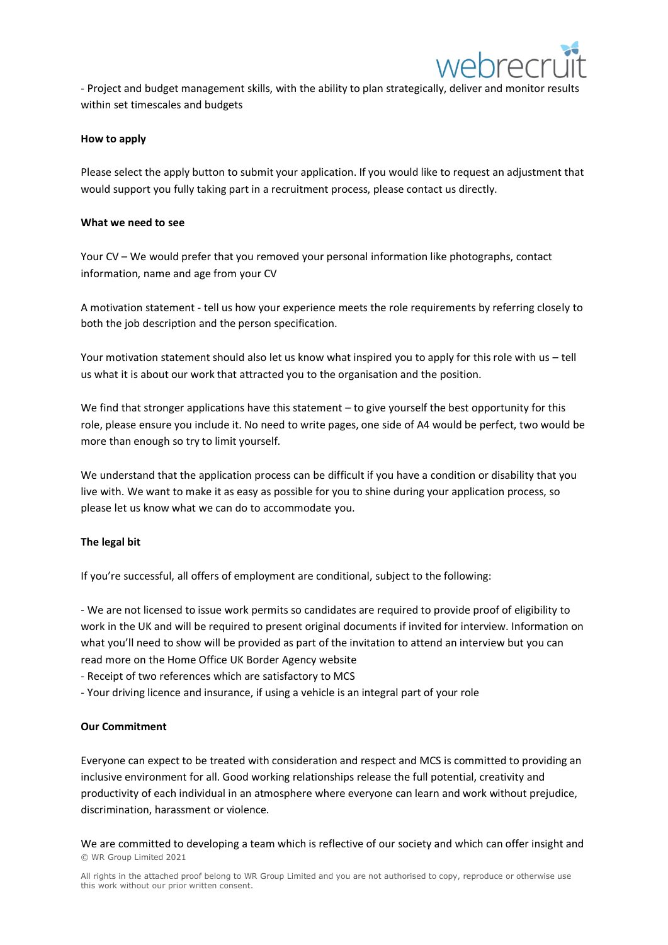

- Project and budget management skills, with the ability to plan strategically, deliver and monitor results within set timescales and budgets

## **How to apply**

Please select the apply button to submit your application. If you would like to request an adjustment that would support you fully taking part in a recruitment process, please contact us directly.

### **What we need to see**

Your CV – We would prefer that you removed your personal information like photographs, contact information, name and age from your CV

A motivation statement - tell us how your experience meets the role requirements by referring closely to both the job description and the person specification.

Your motivation statement should also let us know what inspired you to apply for this role with us – tell us what it is about our work that attracted you to the organisation and the position.

We find that stronger applications have this statement – to give yourself the best opportunity for this role, please ensure you include it. No need to write pages, one side of A4 would be perfect, two would be more than enough so try to limit yourself.

We understand that the application process can be difficult if you have a condition or disability that you live with. We want to make it as easy as possible for you to shine during your application process, so please let us know what we can do to accommodate you.

### **The legal bit**

If you're successful, all offers of employment are conditional, subject to the following:

- We are not licensed to issue work permits so candidates are required to provide proof of eligibility to work in the UK and will be required to present original documents if invited for interview. Information on what you'll need to show will be provided as part of the invitation to attend an interview but you can read more on the Home Office UK Border Agency website

- Receipt of two references which are satisfactory to MCS
- Your driving licence and insurance, if using a vehicle is an integral part of your role

### **Our Commitment**

Everyone can expect to be treated with consideration and respect and MCS is committed to providing an inclusive environment for all. Good working relationships release the full potential, creativity and productivity of each individual in an atmosphere where everyone can learn and work without prejudice, discrimination, harassment or violence.

© WR Group Limited 2021 We are committed to developing a team which is reflective of our society and which can offer insight and

All rights in the attached proof belong to WR Group Limited and you are not authorised to copy, reproduce or otherwise use this work without our prior written consent.